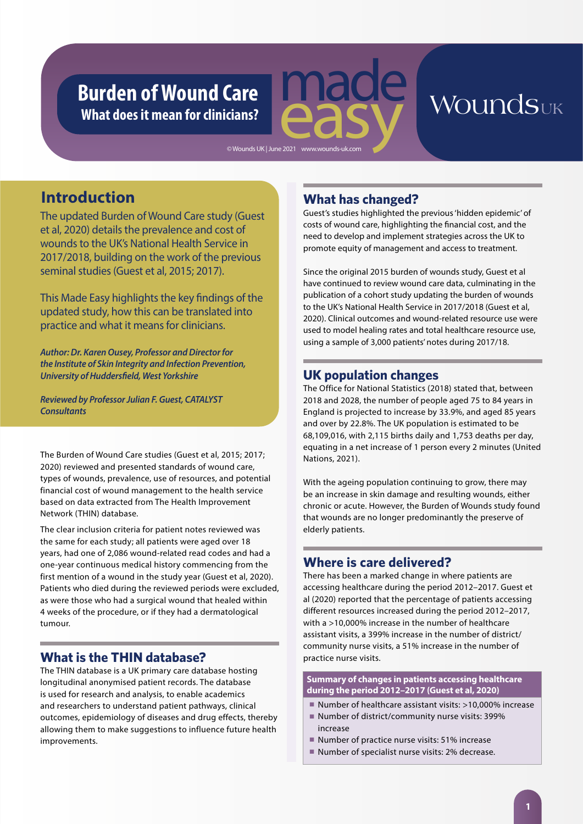# **Burden of Wound Care What does it mean for clinicians?**

# Woundsuk

© Wounds UK | June 2021 www.wounds-uk.com

## **Introduction**

The updated Burden of Wound Care study (Guest et al, 2020) details the prevalence and cost of wounds to the UK's National Health Service in 2017/2018, building on the work of the previous seminal studies (Guest et al, 2015; 2017).

This Made Easy highlights the key findings of the updated study, how this can be translated into practice and what it means for clinicians.

*Author: Dr. Karen Ousey, Professor and Director for the Institute of Skin Integrity and Infection Prevention, University of Huddersfield, West Yorkshire*

*Reviewed by Professor Julian F. Guest, CATALYST Consultants*

The Burden of Wound Care studies (Guest et al, 2015; 2017; 2020) reviewed and presented standards of wound care, types of wounds, prevalence, use of resources, and potential financial cost of wound management to the health service based on data extracted from The Health Improvement Network (THIN) database.

The clear inclusion criteria for patient notes reviewed was the same for each study; all patients were aged over 18 years, had one of 2,086 wound-related read codes and had a one-year continuous medical history commencing from the first mention of a wound in the study year (Guest et al, 2020). Patients who died during the reviewed periods were excluded, as were those who had a surgical wound that healed within 4 weeks of the procedure, or if they had a dermatological tumour.

### **What is the THIN database?**

The THIN database is a UK primary care database hosting longitudinal anonymised patient records. The database is used for research and analysis, to enable academics and researchers to understand patient pathways, clinical outcomes, epidemiology of diseases and drug effects, thereby allowing them to make suggestions to influence future health improvements.

### **What has changed?**

Guest's studies highlighted the previous 'hidden epidemic' of costs of wound care, highlighting the financial cost, and the need to develop and implement strategies across the UK to promote equity of management and access to treatment.

Since the original 2015 burden of wounds study, Guest et al have continued to review wound care data, culminating in the publication of a cohort study updating the burden of wounds to the UK's National Health Service in 2017/2018 (Guest et al, 2020). Clinical outcomes and wound-related resource use were used to model healing rates and total healthcare resource use, using a sample of 3,000 patients' notes during 2017/18.

### **UK population changes**

The Office for National Statistics (2018) stated that, between 2018 and 2028, the number of people aged 75 to 84 years in England is projected to increase by 33.9%, and aged 85 years and over by 22.8%. The UK population is estimated to be 68,109,016, with 2,115 births daily and 1,753 deaths per day, equating in a net increase of 1 person every 2 minutes (United Nations, 2021).

With the ageing population continuing to grow, there may be an increase in skin damage and resulting wounds, either chronic or acute. However, the Burden of Wounds study found that wounds are no longer predominantly the preserve of elderly patients.

### **Where is care delivered?**

There has been a marked change in where patients are accessing healthcare during the period 2012–2017. Guest et al (2020) reported that the percentage of patients accessing different resources increased during the period 2012–2017, with a >10,000% increase in the number of healthcare assistant visits, a 399% increase in the number of district/ community nurse visits, a 51% increase in the number of practice nurse visits.

**Summary of changes in patients accessing healthcare during the period 2012–2017 (Guest et al, 2020)**

- Number of healthcare assistant visits: >10,000% increase
- Number of district/community nurse visits: 399% increase
- Number of practice nurse visits: 51% increase
- Number of specialist nurse visits: 2% decrease.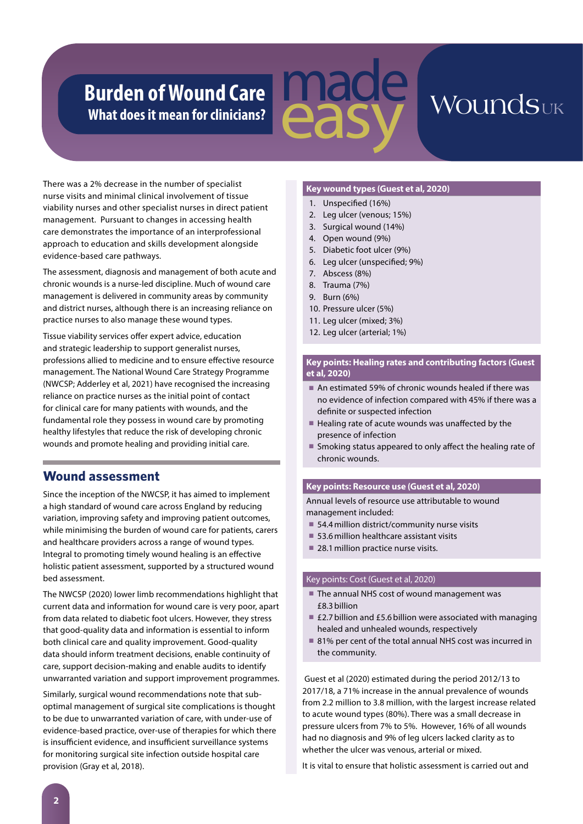# **Burden of Wound Care What does it mean for clinicians?**



There was a 2% decrease in the number of specialist nurse visits and minimal clinical involvement of tissue viability nurses and other specialist nurses in direct patient management. Pursuant to changes in accessing health care demonstrates the importance of an interprofessional approach to education and skills development alongside evidence-based care pathways.

The assessment, diagnosis and management of both acute and chronic wounds is a nurse-led discipline. Much of wound care management is delivered in community areas by community and district nurses, although there is an increasing reliance on practice nurses to also manage these wound types.

Tissue viability services offer expert advice, education and strategic leadership to support generalist nurses, professions allied to medicine and to ensure effective resource management. The National Wound Care Strategy Programme (NWCSP; Adderley et al, 2021) have recognised the increasing reliance on practice nurses as the initial point of contact for clinical care for many patients with wounds, and the fundamental role they possess in wound care by promoting healthy lifestyles that reduce the risk of developing chronic wounds and promote healing and providing initial care.

### **Wound assessment**

Since the inception of the NWCSP, it has aimed to implement a high standard of wound care across England by reducing variation, improving safety and improving patient outcomes, while minimising the burden of wound care for patients, carers and healthcare providers across a range of wound types. Integral to promoting timely wound healing is an effective holistic patient assessment, supported by a structured wound bed assessment.

The NWCSP (2020) lower limb recommendations highlight that current data and information for wound care is very poor, apart from data related to diabetic foot ulcers. However, they stress that good-quality data and information is essential to inform both clinical care and quality improvement. Good-quality data should inform treatment decisions, enable continuity of care, support decision-making and enable audits to identify unwarranted variation and support improvement programmes.

Similarly, surgical wound recommendations note that suboptimal management of surgical site complications is thought to be due to unwarranted variation of care, with under-use of evidence-based practice, over-use of therapies for which there is insufficient evidence, and insufficient surveillance systems for monitoring surgical site infection outside hospital care provision (Gray et al, 2018).

#### **Key wound types (Guest et al, 2020)**

- 1. Unspecified (16%)
- 2. Leg ulcer (venous; 15%)
- 3. Surgical wound (14%)
- 4. Open wound (9%)
- 5. Diabetic foot ulcer (9%)
- 6. Leg ulcer (unspecified; 9%)
- 7. Abscess (8%)
- 8. Trauma (7%)
- 9. Burn (6%)
- 10. Pressure ulcer (5%)
- 11. Leg ulcer (mixed; 3%)
- 12. Leg ulcer (arterial; 1%)

#### **Key points: Healing rates and contributing factors (Guest et al, 2020)**

- An estimated 59% of chronic wounds healed if there was no evidence of infection compared with 45% if there was a definite or suspected infection
- Healing rate of acute wounds was unaffected by the presence of infection
- Smoking status appeared to only affect the healing rate of chronic wounds.

#### **Key points: Resource use (Guest et al, 2020)**

Annual levels of resource use attributable to wound management included:

- 54.4 million district/community nurse visits
- 53.6 million healthcare assistant visits
- 28.1 million practice nurse visits.

#### Key points: Cost (Guest et al, 2020)

- The annual NHS cost of wound management was £8.3 billion
- £2.7 billion and £5.6 billion were associated with managing healed and unhealed wounds, respectively
- 81% per cent of the total annual NHS cost was incurred in the community.

 Guest et al (2020) estimated during the period 2012/13 to 2017/18, a 71% increase in the annual prevalence of wounds from 2.2 million to 3.8 million, with the largest increase related to acute wound types (80%). There was a small decrease in pressure ulcers from 7% to 5%. However, 16% of all wounds had no diagnosis and 9% of leg ulcers lacked clarity as to whether the ulcer was venous, arterial or mixed.

It is vital to ensure that holistic assessment is carried out and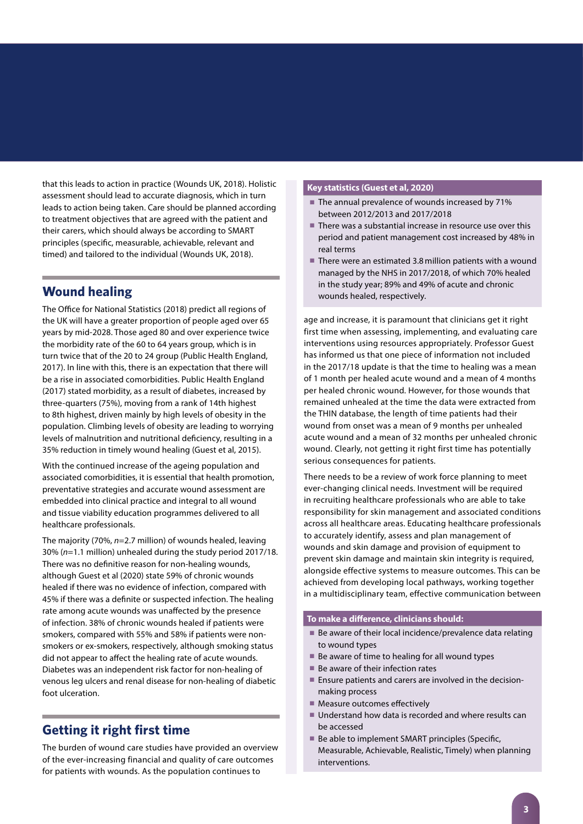that this leads to action in practice (Wounds UK, 2018). Holistic assessment should lead to accurate diagnosis, which in turn leads to action being taken. Care should be planned according to treatment objectives that are agreed with the patient and their carers, which should always be according to SMART principles (specific, measurable, achievable, relevant and timed) and tailored to the individual (Wounds UK, 2018).

### **Wound healing**

The Office for National Statistics (2018) predict all regions of the UK will have a greater proportion of people aged over 65 years by mid-2028. Those aged 80 and over experience twice the morbidity rate of the 60 to 64 years group, which is in turn twice that of the 20 to 24 group (Public Health England, 2017). In line with this, there is an expectation that there will be a rise in associated comorbidities. Public Health England (2017) stated morbidity, as a result of diabetes, increased by three-quarters (75%), moving from a rank of 14th highest to 8th highest, driven mainly by high levels of obesity in the population. Climbing levels of obesity are leading to worrying levels of malnutrition and nutritional deficiency, resulting in a 35% reduction in timely wound healing (Guest et al, 2015).

With the continued increase of the ageing population and associated comorbidities, it is essential that health promotion, preventative strategies and accurate wound assessment are embedded into clinical practice and integral to all wound and tissue viability education programmes delivered to all healthcare professionals.

The majority (70%, *n*=2.7 million) of wounds healed, leaving 30% (*n*=1.1 million) unhealed during the study period 2017/18. There was no definitive reason for non-healing wounds, although Guest et al (2020) state 59% of chronic wounds healed if there was no evidence of infection, compared with 45% if there was a definite or suspected infection. The healing rate among acute wounds was unaffected by the presence of infection. 38% of chronic wounds healed if patients were smokers, compared with 55% and 58% if patients were nonsmokers or ex-smokers, respectively, although smoking status did not appear to affect the healing rate of acute wounds. Diabetes was an independent risk factor for non-healing of venous leg ulcers and renal disease for non-healing of diabetic foot ulceration.

### **Getting it right first time**

The burden of wound care studies have provided an overview of the ever-increasing financial and quality of care outcomes for patients with wounds. As the population continues to

#### **Key statistics (Guest et al, 2020)**

- The annual prevalence of wounds increased by 71% between 2012/2013 and 2017/2018
- There was a substantial increase in resource use over this period and patient management cost increased by 48% in real terms
- There were an estimated 3.8 million patients with a wound managed by the NHS in 2017/2018, of which 70% healed in the study year; 89% and 49% of acute and chronic wounds healed, respectively.

age and increase, it is paramount that clinicians get it right first time when assessing, implementing, and evaluating care interventions using resources appropriately. Professor Guest has informed us that one piece of information not included in the 2017/18 update is that the time to healing was a mean of 1 month per healed acute wound and a mean of 4 months per healed chronic wound. However, for those wounds that remained unhealed at the time the data were extracted from the THIN database, the length of time patients had their wound from onset was a mean of 9 months per unhealed acute wound and a mean of 32 months per unhealed chronic wound. Clearly, not getting it right first time has potentially serious consequences for patients.

There needs to be a review of work force planning to meet ever-changing clinical needs. Investment will be required in recruiting healthcare professionals who are able to take responsibility for skin management and associated conditions across all healthcare areas. Educating healthcare professionals to accurately identify, assess and plan management of wounds and skin damage and provision of equipment to prevent skin damage and maintain skin integrity is required, alongside effective systems to measure outcomes. This can be achieved from developing local pathways, working together in a multidisciplinary team, effective communication between

#### **To make a difference, clinicians should:**

- Be aware of their local incidence/prevalence data relating to wound types
- Be aware of time to healing for all wound types
- Be aware of their infection rates
- Ensure patients and carers are involved in the decisionmaking process
- Measure outcomes effectively
- Understand how data is recorded and where results can be accessed
- Be able to implement SMART principles (Specific, Measurable, Achievable, Realistic, Timely) when planning interventions.